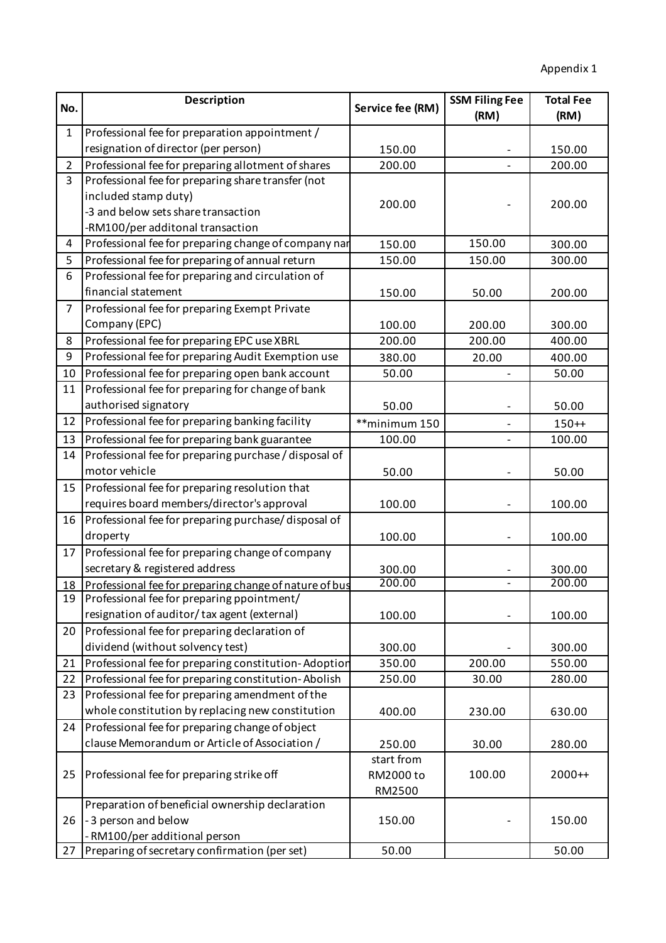| No.            | <b>Description</b>                                                                                    | Service fee (RM) | <b>SSM Filing Fee</b> | <b>Total Fee</b> |
|----------------|-------------------------------------------------------------------------------------------------------|------------------|-----------------------|------------------|
|                |                                                                                                       |                  | (RM)                  | (RM)             |
| $\mathbf{1}$   | Professional fee for preparation appointment /                                                        |                  |                       |                  |
|                | resignation of director (per person)                                                                  | 150.00           |                       | 150.00           |
| $\overline{2}$ | Professional fee for preparing allotment of shares                                                    | 200.00           |                       | 200.00           |
| 3              | Professional fee for preparing share transfer (not                                                    |                  |                       |                  |
|                | included stamp duty)                                                                                  | 200.00           |                       | 200.00           |
|                | -3 and below sets share transaction                                                                   |                  |                       |                  |
|                | -RM100/per additonal transaction                                                                      |                  |                       |                  |
| 4              | Professional fee for preparing change of company nar                                                  | 150.00           | 150.00                | 300.00           |
| 5              | Professional fee for preparing of annual return                                                       | 150.00           | 150.00                | 300.00           |
| 6              | Professional fee for preparing and circulation of                                                     |                  |                       |                  |
|                | financial statement                                                                                   | 150.00           | 50.00                 | 200.00           |
| $\overline{7}$ | Professional fee for preparing Exempt Private                                                         |                  |                       |                  |
|                | Company (EPC)                                                                                         | 100.00           | 200.00                | 300.00           |
| 8<br>9         | Professional fee for preparing EPC use XBRL                                                           | 200.00           | 200.00                | 400.00           |
|                | Professional fee for preparing Audit Exemption use                                                    | 380.00           | 20.00                 | 400.00           |
| 10<br>11       | Professional fee for preparing open bank account<br>Professional fee for preparing for change of bank | 50.00            |                       | 50.00            |
|                | authorised signatory                                                                                  |                  |                       |                  |
| 12             | Professional fee for preparing banking facility                                                       | 50.00            |                       | 50.00            |
|                |                                                                                                       | **minimum 150    |                       | $150++$          |
| 13             | Professional fee for preparing bank guarantee                                                         | 100.00           |                       | 100.00           |
| 14             | Professional fee for preparing purchase / disposal of<br>motor vehicle                                |                  |                       |                  |
| 15             | Professional fee for preparing resolution that                                                        | 50.00            |                       | 50.00            |
|                | requires board members/director's approval                                                            | 100.00           |                       | 100.00           |
| 16             | Professional fee for preparing purchase/disposal of                                                   |                  |                       |                  |
|                | droperty                                                                                              | 100.00           |                       | 100.00           |
| 17             | Professional fee for preparing change of company                                                      |                  |                       |                  |
|                | secretary & registered address                                                                        | 300.00           |                       | 300.00           |
|                | 18 Professional fee for preparing change of nature of bus                                             | 200.00           |                       | 200.00           |
| 19             | Professional fee for preparing ppointment/                                                            |                  |                       |                  |
|                | resignation of auditor/tax agent (external)                                                           | 100.00           |                       | 100.00           |
| 20             | Professional fee for preparing declaration of                                                         |                  |                       |                  |
|                | dividend (without solvency test)                                                                      | 300.00           |                       | 300.00           |
| 21             | Professional fee for preparing constitution-Adoption                                                  | 350.00           | 200.00                | 550.00           |
| 22             | Professional fee for preparing constitution-Abolish                                                   | 250.00           | 30.00                 | 280.00           |
| 23             | Professional fee for preparing amendment of the                                                       |                  |                       |                  |
|                | whole constitution by replacing new constitution                                                      | 400.00           | 230.00                | 630.00           |
| 24             | Professional fee for preparing change of object                                                       |                  |                       |                  |
|                | clause Memorandum or Article of Association /                                                         | 250.00           | 30.00                 | 280.00           |
|                |                                                                                                       | start from       |                       |                  |
| 25             | Professional fee for preparing strike off                                                             | RM2000 to        | 100.00                | $2000++$         |
|                |                                                                                                       | RM2500           |                       |                  |
|                | Preparation of beneficial ownership declaration                                                       |                  |                       |                  |
| 26             | -3 person and below                                                                                   | 150.00           |                       | 150.00           |
|                | RM100/per additional person                                                                           |                  |                       |                  |
| 27             | Preparing of secretary confirmation (per set)                                                         | 50.00            |                       | 50.00            |